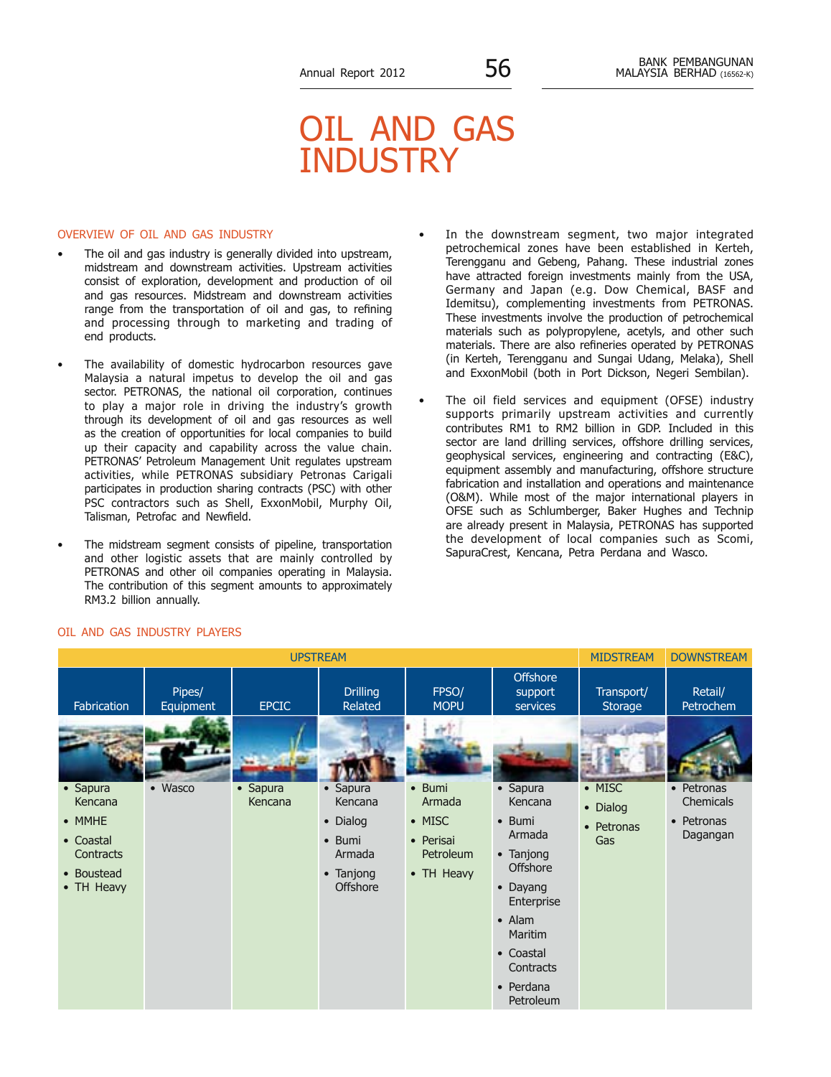# Oil and Gas **INDUSTRY**

#### Overview of Oil and Gas Industry

- The oil and gas industry is generally divided into upstream, midstream and downstream activities. Upstream activities consist of exploration, development and production of oil and gas resources. Midstream and downstream activities range from the transportation of oil and gas, to refining and processing through to marketing and trading of end products.
- The availability of domestic hydrocarbon resources gave Malaysia a natural impetus to develop the oil and gas sector. PETRONAS, the national oil corporation, continues to play a major role in driving the industry's growth through its development of oil and gas resources as well as the creation of opportunities for local companies to build up their capacity and capability across the value chain. PETRONAS' Petroleum Management Unit regulates upstream activities, while PETRONAS subsidiary Petronas Carigali participates in production sharing contracts (PSC) with other PSC contractors such as Shell, ExxonMobil, Murphy Oil, Talisman, Petrofac and Newfield.
- The midstream segment consists of pipeline, transportation and other logistic assets that are mainly controlled by PETRONAS and other oil companies operating in Malaysia. The contribution of this segment amounts to approximately RM3.2 billion annually.
- In the downstream segment, two major integrated petrochemical zones have been established in Kerteh, Terengganu and Gebeng, Pahang. These industrial zones have attracted foreign investments mainly from the USA, Germany and Japan (e.g. Dow Chemical, BASF and Idemitsu), complementing investments from PETRONAS. These investments involve the production of petrochemical materials such as polypropylene, acetyls, and other such materials. There are also refineries operated by PETRONAS (in Kerteh, Terengganu and Sungai Udang, Melaka), Shell and ExxonMobil (both in Port Dickson, Negeri Sembilan).
- The oil field services and equipment (OFSE) industry supports primarily upstream activities and currently contributes RM1 to RM2 billion in GDP. Included in this sector are land drilling services, offshore drilling services, geophysical services, engineering and contracting (E&C), equipment assembly and manufacturing, offshore structure fabrication and installation and operations and maintenance (O&M). While most of the major international players in OFSE such as Schlumberger, Baker Hughes and Technip are already present in Malaysia, PETRONAS has supported the development of local companies such as Scomi, SapuraCrest, Kencana, Petra Perdana and Wasco.



### Oil and Gas Industry Players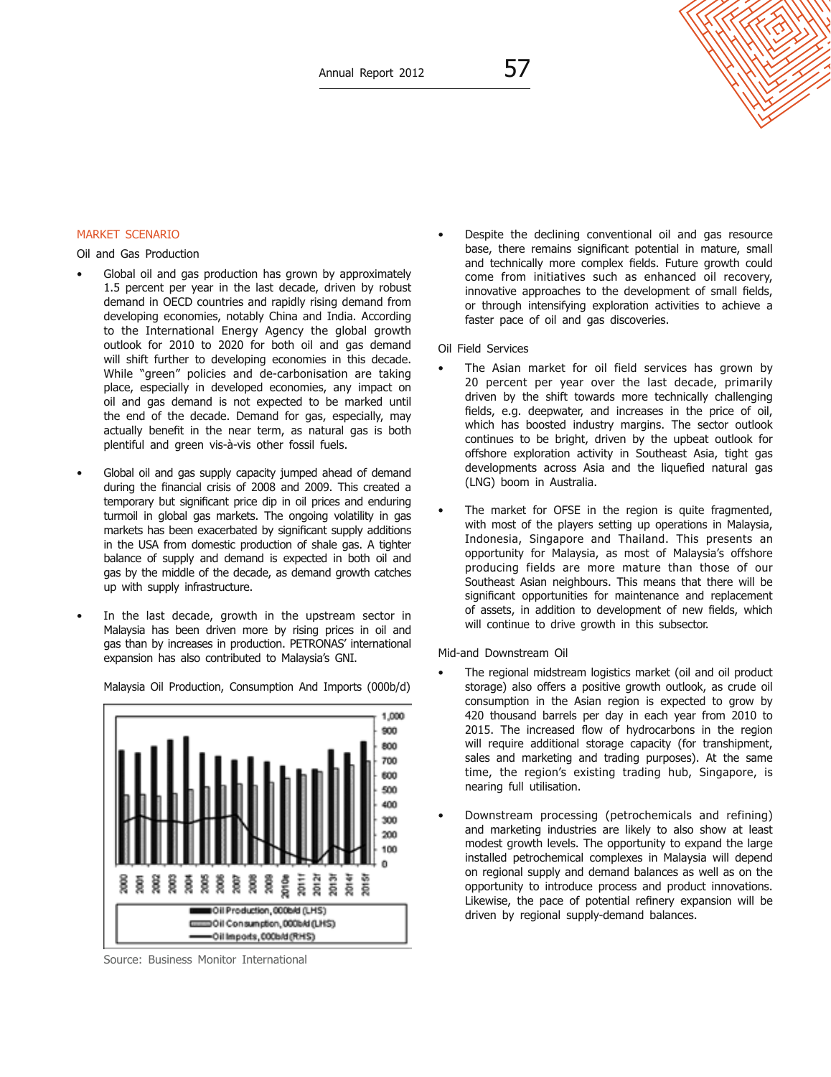## Market Scenario

Oil and Gas Production

- Global oil and gas production has grown by approximately 1.5 percent per year in the last decade, driven by robust demand in OECD countries and rapidly rising demand from developing economies, notably China and India. According to the International Energy Agency the global growth outlook for 2010 to 2020 for both oil and gas demand will shift further to developing economies in this decade. While "green" policies and de-carbonisation are taking place, especially in developed economies, any impact on oil and gas demand is not expected to be marked until the end of the decade. Demand for gas, especially, may actually benefit in the near term, as natural gas is both plentiful and green vis-à-vis other fossil fuels.
- Global oil and gas supply capacity jumped ahead of demand during the financial crisis of 2008 and 2009. This created a temporary but significant price dip in oil prices and enduring turmoil in global gas markets. The ongoing volatility in gas markets has been exacerbated by significant supply additions in the USA from domestic production of shale gas. A tighter balance of supply and demand is expected in both oil and gas by the middle of the decade, as demand growth catches up with supply infrastructure.
- In the last decade, growth in the upstream sector in Malaysia has been driven more by rising prices in oil and gas than by increases in production. PETRONAS' international expansion has also contributed to Malaysia's GNI.

Malaysia Oil Production, Consumption And Imports (000b/d)

1,000 900 800 700 600 500 400 300 200 100 2011f 20121 2013f 2014f<br>2015f 2002<br>2003 2010e 38<br>38<br>38<br>38 ğ å Oil Production, 000b/d (LHS) DOII Consunption, 000bAI (LHS) Oil Imports, 000b/d (RHS)

Source: Business Monitor International

- Despite the declining conventional oil and gas resource base, there remains significant potential in mature, small and technically more complex fields. Future growth could come from initiatives such as enhanced oil recovery, innovative approaches to the development of small fields, or through intensifying exploration activities to achieve a faster pace of oil and gas discoveries.
- Oil Field Services
- The Asian market for oil field services has grown by 20 percent per year over the last decade, primarily driven by the shift towards more technically challenging fields, e.g. deepwater, and increases in the price of oil, which has boosted industry margins. The sector outlook continues to be bright, driven by the upbeat outlook for offshore exploration activity in Southeast Asia, tight gas developments across Asia and the liquefied natural gas (LNG) boom in Australia.
- The market for OFSE in the region is quite fragmented, with most of the players setting up operations in Malaysia, Indonesia, Singapore and Thailand. This presents an opportunity for Malaysia, as most of Malaysia's offshore producing fields are more mature than those of our Southeast Asian neighbours. This means that there will be significant opportunities for maintenance and replacement of assets, in addition to development of new fields, which will continue to drive growth in this subsector.

Mid-and Downstream Oil

- The regional midstream logistics market (oil and oil product storage) also offers a positive growth outlook, as crude oil consumption in the Asian region is expected to grow by 420 thousand barrels per day in each year from 2010 to 2015. The increased flow of hydrocarbons in the region will require additional storage capacity (for transhipment, sales and marketing and trading purposes). At the same time, the region's existing trading hub, Singapore, is nearing full utilisation.
- Downstream processing (petrochemicals and refining) and marketing industries are likely to also show at least modest growth levels. The opportunity to expand the large installed petrochemical complexes in Malaysia will depend on regional supply and demand balances as well as on the opportunity to introduce process and product innovations. Likewise, the pace of potential refinery expansion will be driven by regional supply-demand balances.



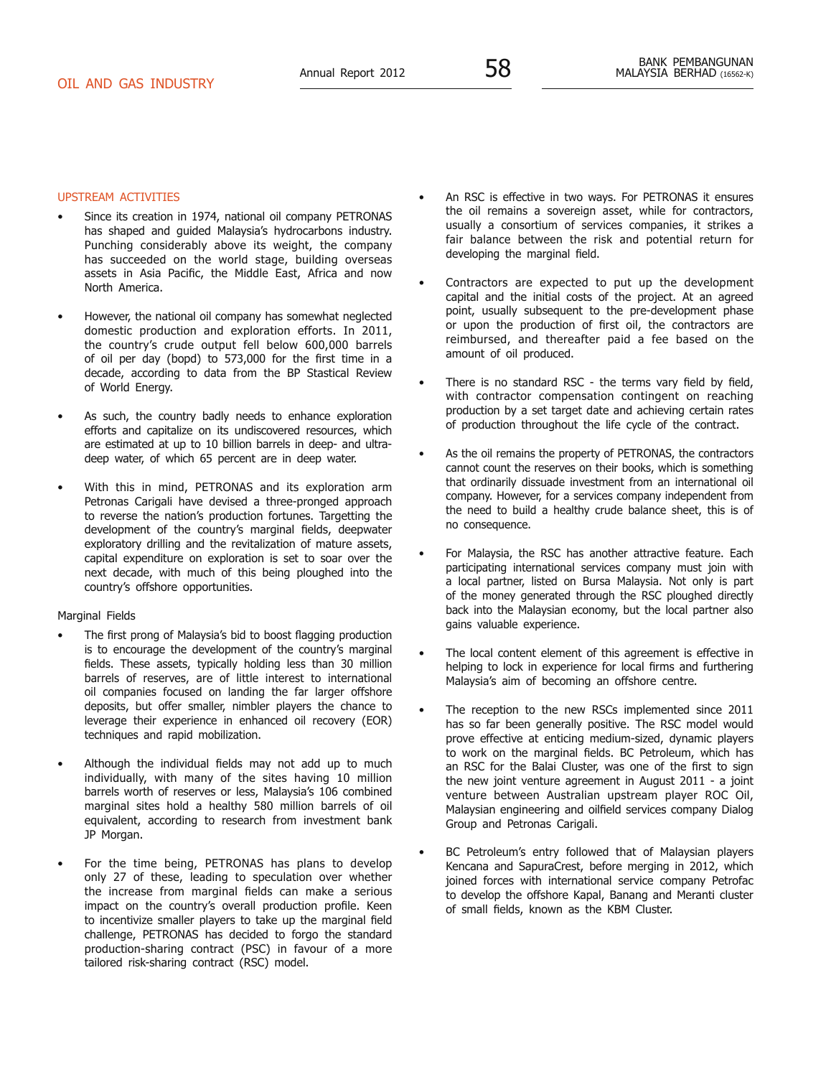#### Upstream Activities

- Since its creation in 1974, national oil company PETRONAS has shaped and guided Malaysia's hydrocarbons industry. Punching considerably above its weight, the company has succeeded on the world stage, building overseas assets in Asia Pacific, the Middle East, Africa and now North America.
- However, the national oil company has somewhat neglected domestic production and exploration efforts. In 2011, the country's crude output fell below 600,000 barrels of oil per day (bopd) to 573,000 for the first time in a decade, according to data from the BP Stastical Review of World Energy.
- As such, the country badly needs to enhance exploration efforts and capitalize on its undiscovered resources, which are estimated at up to 10 billion barrels in deep- and ultradeep water, of which 65 percent are in deep water.
- With this in mind, PETRONAS and its exploration arm Petronas Carigali have devised a three-pronged approach to reverse the nation's production fortunes. Targetting the development of the country's marginal fields, deepwater exploratory drilling and the revitalization of mature assets, capital expenditure on exploration is set to soar over the next decade, with much of this being ploughed into the country's offshore opportunities.

#### Marginal Fields

- The first prong of Malaysia's bid to boost flagging production is to encourage the development of the country's marginal fields. These assets, typically holding less than 30 million barrels of reserves, are of little interest to international oil companies focused on landing the far larger offshore deposits, but offer smaller, nimbler players the chance to leverage their experience in enhanced oil recovery (EOR) techniques and rapid mobilization.
- Although the individual fields may not add up to much individually, with many of the sites having 10 million barrels worth of reserves or less, Malaysia's 106 combined marginal sites hold a healthy 580 million barrels of oil equivalent, according to research from investment bank JP Morgan.
- For the time being, PETRONAS has plans to develop only 27 of these, leading to speculation over whether the increase from marginal fields can make a serious impact on the country's overall production profile. Keen to incentivize smaller players to take up the marginal field challenge, PETRONAS has decided to forgo the standard production-sharing contract (PSC) in favour of a more tailored risk-sharing contract (RSC) model.
- An RSC is effective in two ways. For PETRONAS it ensures the oil remains a sovereign asset, while for contractors, usually a consortium of services companies, it strikes a fair balance between the risk and potential return for developing the marginal field.
- Contractors are expected to put up the development capital and the initial costs of the project. At an agreed point, usually subsequent to the pre-development phase or upon the production of first oil, the contractors are reimbursed, and thereafter paid a fee based on the amount of oil produced.
- There is no standard RSC the terms vary field by field, with contractor compensation contingent on reaching production by a set target date and achieving certain rates of production throughout the life cycle of the contract.
- As the oil remains the property of PETRONAS, the contractors cannot count the reserves on their books, which is something that ordinarily dissuade investment from an international oil company. However, for a services company independent from the need to build a healthy crude balance sheet, this is of no consequence.
- For Malaysia, the RSC has another attractive feature. Each participating international services company must join with a local partner, listed on Bursa Malaysia. Not only is part of the money generated through the RSC ploughed directly back into the Malaysian economy, but the local partner also gains valuable experience.
- The local content element of this agreement is effective in helping to lock in experience for local firms and furthering Malaysia's aim of becoming an offshore centre.
- The reception to the new RSCs implemented since 2011 has so far been generally positive. The RSC model would prove effective at enticing medium-sized, dynamic players to work on the marginal fields. BC Petroleum, which has an RSC for the Balai Cluster, was one of the first to sign the new joint venture agreement in August 2011 - a joint venture between Australian upstream player ROC Oil, Malaysian engineering and oilfield services company Dialog Group and Petronas Carigali.
- BC Petroleum's entry followed that of Malaysian players Kencana and SapuraCrest, before merging in 2012, which joined forces with international service company Petrofac to develop the offshore Kapal, Banang and Meranti cluster of small fields, known as the KBM Cluster.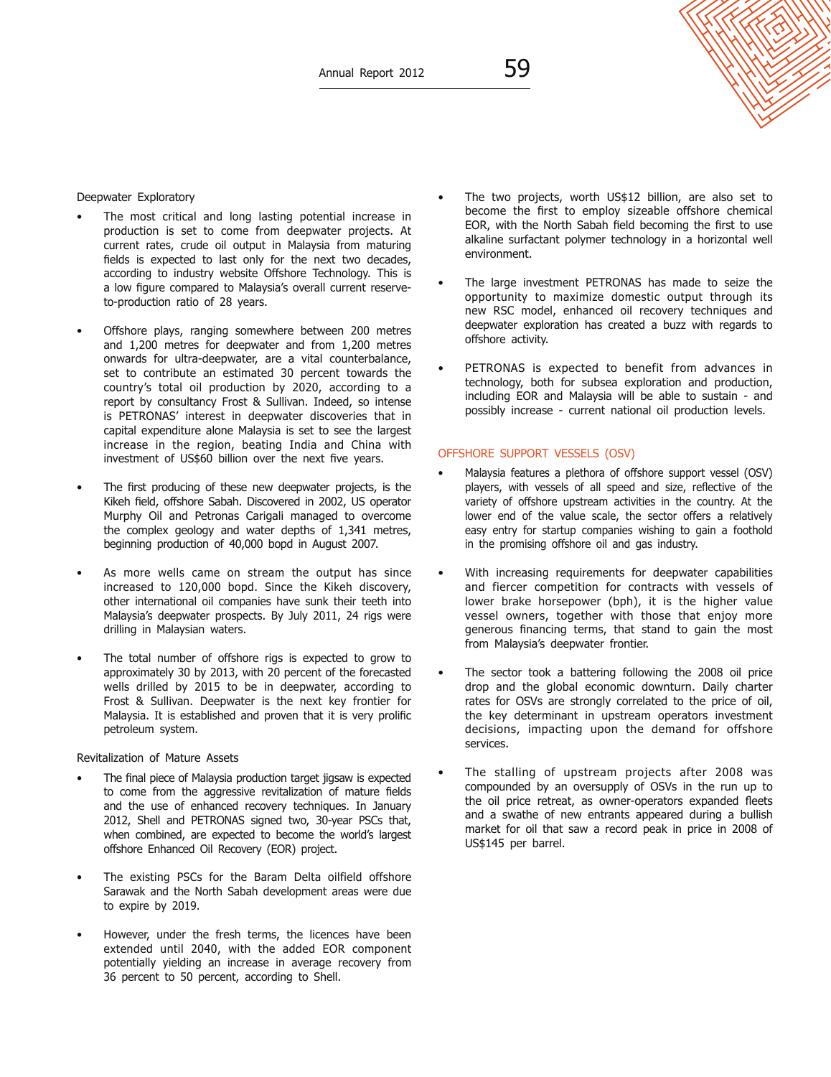#### Deepwater Exploratory

- The most critical and long lasting potential increase in production is set to come from deepwater projects. At current rates, crude oil output in Malaysia from maturing fields is expected to last only for the next two decades, according to industry website Offshore Technology. This is a low figure compared to Malaysia's overall current reserveto-production ratio of 28 years.
- Offshore plays, ranging somewhere between 200 metres and 1,200 metres for deepwater and from 1,200 metres onwards for ultra-deepwater, are a vital counterbalance, set to contribute an estimated 30 percent towards the country's total oil production by 2020, according to a report by consultancy Frost & Sullivan. Indeed, so intense is PETRONAS' interest in deepwater discoveries that in capital expenditure alone Malaysia is set to see the largest increase in the region, beating India and China with investment of US\$60 billion over the next five years.
- The first producing of these new deepwater projects, is the Kikeh field, offshore Sabah. Discovered in 2002, US operator Murphy Oil and Petronas Carigali managed to overcome the complex geology and water depths of 1,341 metres, beginning production of 40,000 bopd in August 2007.
- As more wells came on stream the output has since increased to 120,000 bopd. Since the Kikeh discovery, other international oil companies have sunk their teeth into Malaysia's deepwater prospects. By July 2011, 24 rigs were drilling in Malaysian waters.
- The total number of offshore rigs is expected to grow to approximately 30 by 2013, with 20 percent of the forecasted wells drilled by 2015 to be in deepwater, according to Frost & Sullivan. Deepwater is the next key frontier for Malaysia. It is established and proven that it is very prolific petroleum system.

#### Revitalization of Mature Assets

- The final piece of Malaysia production target jigsaw is expected to come from the aggressive revitalization of mature fields and the use of enhanced recovery techniques. In January 2012, Shell and PETRONAS signed two, 30-year PSCs that, when combined, are expected to become the world's largest offshore Enhanced Oil Recovery (EOR) project.
- The existing PSCs for the Baram Delta oilfield offshore Sarawak and the North Sabah development areas were due to expire by 2019.
- However, under the fresh terms, the licences have been extended until 2040, with the added EOR component potentially yielding an increase in average recovery from 36 percent to 50 percent, according to Shell.
- The two projects, worth US\$12 billion, are also set to become the first to employ sizeable offshore chemical EOR, with the North Sabah field becoming the first to use alkaline surfactant polymer technology in a horizontal well environment.
- The large investment PETRONAS has made to seize the opportunity to maximize domestic output through its new RSC model, enhanced oil recovery techniques and deepwater exploration has created a buzz with regards to offshore activity.
- PETRONAS is expected to benefit from advances in technology, both for subsea exploration and production, including EOR and Malaysia will be able to sustain - and possibly increase - current national oil production levels.

#### Offshore Support Vessels (OSV)

- Malaysia features a plethora of offshore support vessel (OSV) players, with vessels of all speed and size, reflective of the variety of offshore upstream activities in the country. At the lower end of the value scale, the sector offers a relatively easy entry for startup companies wishing to gain a foothold in the promising offshore oil and gas industry.
- With increasing requirements for deepwater capabilities and fiercer competition for contracts with vessels of lower brake horsepower (bph), it is the higher value vessel owners, together with those that enjoy more generous financing terms, that stand to gain the most from Malaysia's deepwater frontier.
- The sector took a battering following the 2008 oil price drop and the global economic downturn. Daily charter rates for OSVs are strongly correlated to the price of oil, the key determinant in upstream operators investment decisions, impacting upon the demand for offshore services.
- The stalling of upstream projects after 2008 was compounded by an oversupply of OSVs in the run up to the oil price retreat, as owner-operators expanded fleets and a swathe of new entrants appeared during a bullish market for oil that saw a record peak in price in 2008 of US\$145 per barrel.

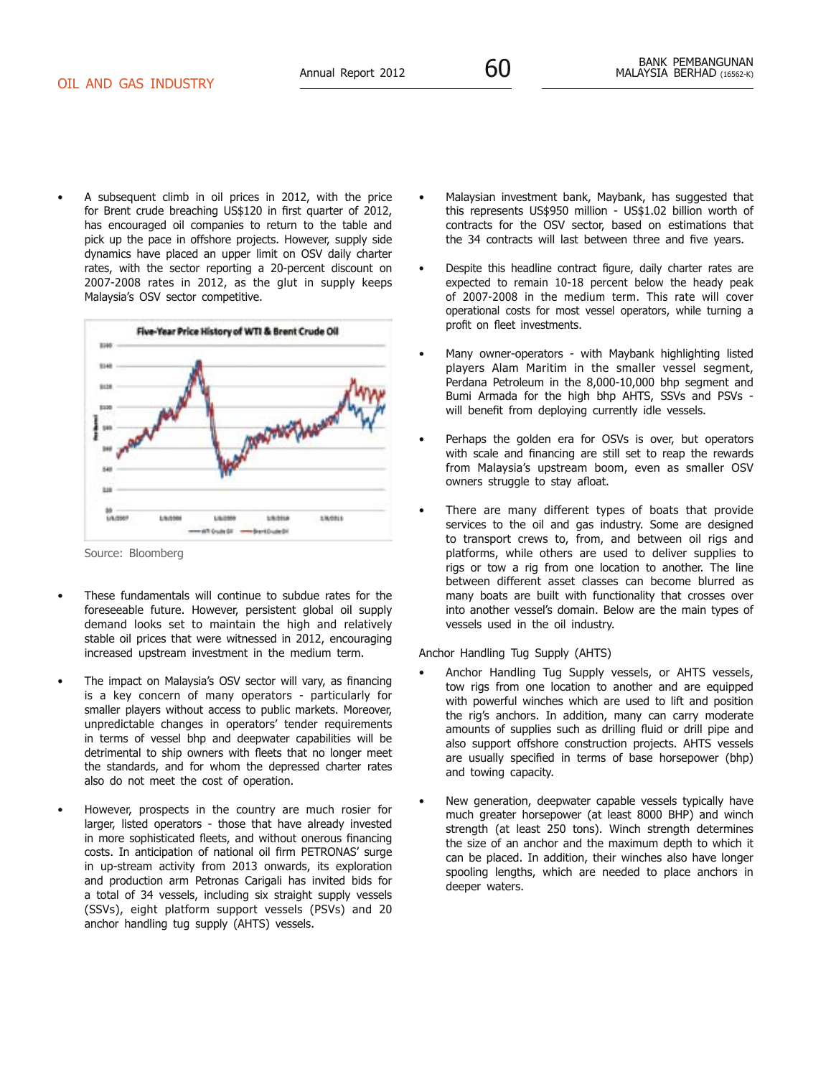- A subsequent climb in oil prices in 2012, with the price for Brent crude breaching US\$120 in first quarter of 2012,
- has encouraged oil companies to return to the table and pick up the pace in offshore projects. However, supply side dynamics have placed an upper limit on OSV daily charter rates, with the sector reporting a 20-percent discount on 2007-2008 rates in 2012, as the glut in supply keeps Malaysia's OSV sector competitive.



Source: Bloomberg

- These fundamentals will continue to subdue rates for the foreseeable future. However, persistent global oil supply demand looks set to maintain the high and relatively stable oil prices that were witnessed in 2012, encouraging increased upstream investment in the medium term.
- The impact on Malaysia's OSV sector will vary, as financing is a key concern of many operators - particularly for smaller players without access to public markets. Moreover, unpredictable changes in operators' tender requirements in terms of vessel bhp and deepwater capabilities will be detrimental to ship owners with fleets that no longer meet the standards, and for whom the depressed charter rates also do not meet the cost of operation.
- However, prospects in the country are much rosier for larger, listed operators - those that have already invested in more sophisticated fleets, and without onerous financing costs. In anticipation of national oil firm PETRONAS' surge in up-stream activity from 2013 onwards, its exploration and production arm Petronas Carigali has invited bids for a total of 34 vessels, including six straight supply vessels (SSVs), eight platform support vessels (PSVs) and 20 anchor handling tug supply (AHTS) vessels.
- Malaysian investment bank, Maybank, has suggested that this represents US\$950 million - US\$1.02 billion worth of contracts for the OSV sector, based on estimations that the 34 contracts will last between three and five years.
- Despite this headline contract figure, daily charter rates are expected to remain 10-18 percent below the heady peak of 2007-2008 in the medium term. This rate will cover operational costs for most vessel operators, while turning a profit on fleet investments.
- Many owner-operators with Maybank highlighting listed players Alam Maritim in the smaller vessel segment, Perdana Petroleum in the 8,000-10,000 bhp segment and Bumi Armada for the high bhp AHTS, SSVs and PSVs will benefit from deploying currently idle vessels.
- Perhaps the golden era for OSVs is over, but operators with scale and financing are still set to reap the rewards from Malaysia's upstream boom, even as smaller OSV owners struggle to stay afloat.
- There are many different types of boats that provide services to the oil and gas industry. Some are designed to transport crews to, from, and between oil rigs and platforms, while others are used to deliver supplies to rigs or tow a rig from one location to another. The line between different asset classes can become blurred as many boats are built with functionality that crosses over into another vessel's domain. Below are the main types of vessels used in the oil industry.

#### Anchor Handling Tug Supply (AHTS)

- Anchor Handling Tug Supply vessels, or AHTS vessels, tow rigs from one location to another and are equipped with powerful winches which are used to lift and position the rig's anchors. In addition, many can carry moderate amounts of supplies such as drilling fluid or drill pipe and also support offshore construction projects. AHTS vessels are usually specified in terms of base horsepower (bhp) and towing capacity.
- New generation, deepwater capable vessels typically have much greater horsepower (at least 8000 BHP) and winch strength (at least 250 tons). Winch strength determines the size of an anchor and the maximum depth to which it can be placed. In addition, their winches also have longer spooling lengths, which are needed to place anchors in deeper waters.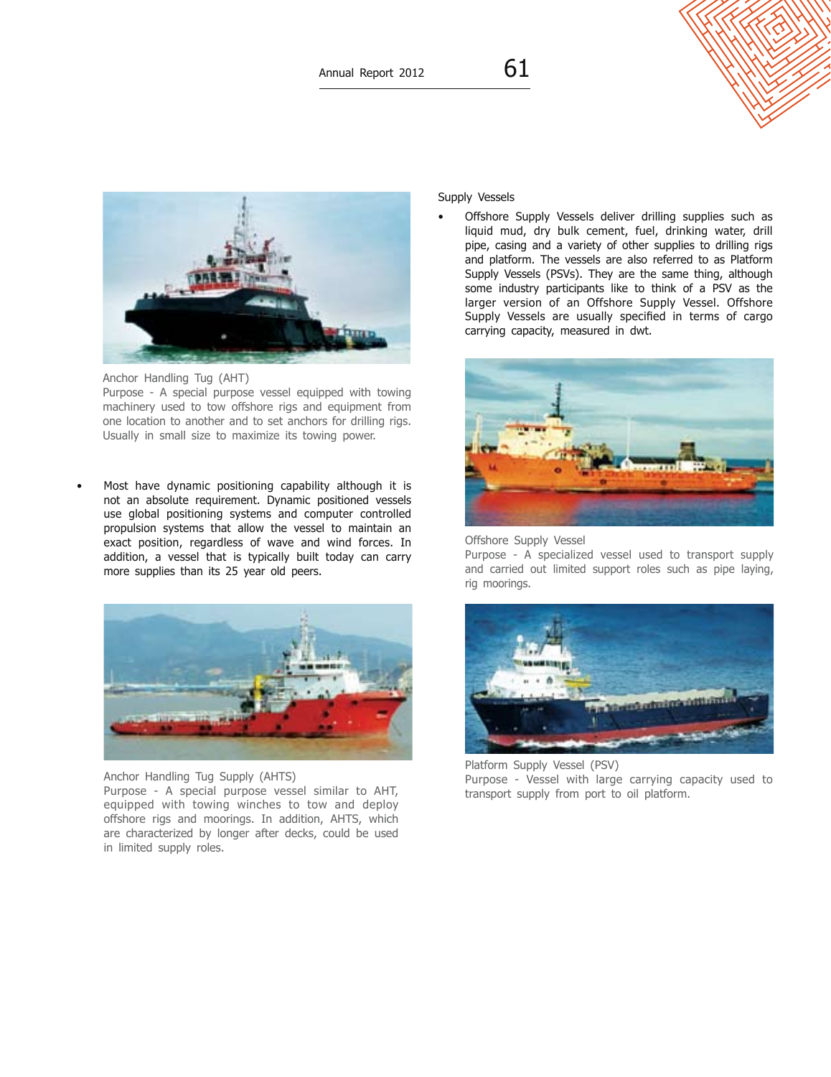# Supply Vessels

• Offshore Supply Vessels deliver drilling supplies such as liquid mud, dry bulk cement, fuel, drinking water, drill pipe, casing and a variety of other supplies to drilling rigs and platform. The vessels are also referred to as Platform Supply Vessels (PSVs). They are the same thing, although some industry participants like to think of a PSV as the larger version of an Offshore Supply Vessel. Offshore Supply Vessels are usually specified in terms of cargo carrying capacity, measured in dwt.



#### Offshore Supply Vessel

Purpose - A specialized vessel used to transport supply and carried out limited support roles such as pipe laying, rig moorings.



Platform Supply Vessel (PSV) Purpose - Vessel with large carrying capacity used to transport supply from port to oil platform.



Anchor Handling Tug (AHT) Purpose - A special purpose vessel equipped with towing machinery used to tow offshore rigs and equipment from one location to another and to set anchors for drilling rigs. Usually in small size to maximize its towing power.

Most have dynamic positioning capability although it is not an absolute requirement. Dynamic positioned vessels use global positioning systems and computer controlled propulsion systems that allow the vessel to maintain an exact position, regardless of wave and wind forces. In addition, a vessel that is typically built today can carry more supplies than its 25 year old peers.



Anchor Handling Tug Supply (AHTS) Purpose - A special purpose vessel similar to AHT, equipped with towing winches to tow and deploy offshore rigs and moorings. In addition, AHTS, which are characterized by longer after decks, could be used in limited supply roles.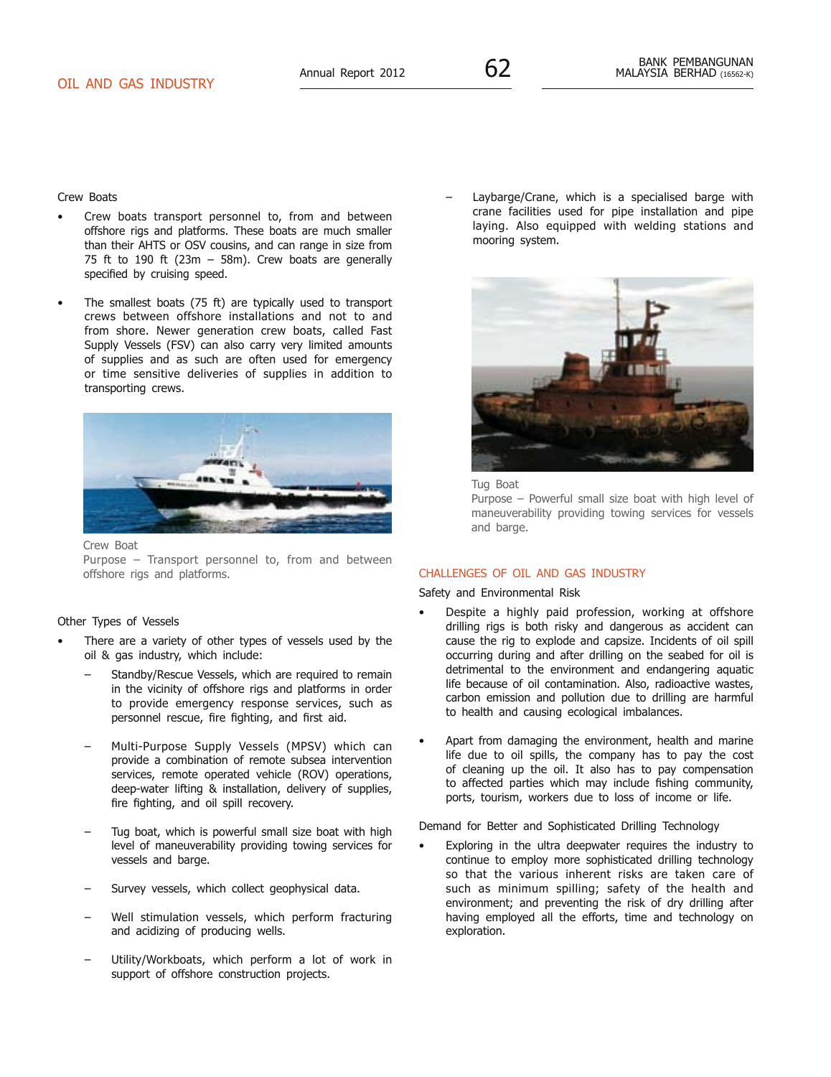Crew Boats

- Crew boats transport personnel to, from and between offshore rigs and platforms. These boats are much smaller than their AHTS or OSV cousins, and can range in size from 75 ft to 190 ft (23m  $-$  58m). Crew boats are generally specified by cruising speed.
- The smallest boats (75 ft) are typically used to transport crews between offshore installations and not to and from shore. Newer generation crew boats, called Fast Supply Vessels (FSV) can also carry very limited amounts of supplies and as such are often used for emergency or time sensitive deliveries of supplies in addition to transporting crews.



Crew Boat

Purpose – Transport personnel to, from and between offshore rigs and platforms.

#### Other Types of Vessels

- There are a variety of other types of vessels used by the oil & gas industry, which include:
	- Standby/Rescue Vessels, which are required to remain in the vicinity of offshore rigs and platforms in order to provide emergency response services, such as personnel rescue, fire fighting, and first aid.
	- Multi-Purpose Supply Vessels (MPSV) which can provide a combination of remote subsea intervention services, remote operated vehicle (ROV) operations, deep-water lifting & installation, delivery of supplies, fire fighting, and oil spill recovery.
	- Tug boat, which is powerful small size boat with high level of maneuverability providing towing services for vessels and barge.
	- Survey vessels, which collect geophysical data.
	- Well stimulation vessels, which perform fracturing and acidizing of producing wells.
	- Utility/Workboats, which perform a lot of work in support of offshore construction projects.

– Laybarge/Crane, which is a specialised barge with crane facilities used for pipe installation and pipe laying. Also equipped with welding stations and mooring system.



Tug Boat

Purpose – Powerful small size boat with high level of maneuverability providing towing services for vessels and barge.

#### Challenges of Oil and Gas Industry

Safety and Environmental Risk

- Despite a highly paid profession, working at offshore drilling rigs is both risky and dangerous as accident can cause the rig to explode and capsize. Incidents of oil spill occurring during and after drilling on the seabed for oil is detrimental to the environment and endangering aquatic life because of oil contamination. Also, radioactive wastes. carbon emission and pollution due to drilling are harmful to health and causing ecological imbalances.
- Apart from damaging the environment, health and marine life due to oil spills, the company has to pay the cost of cleaning up the oil. It also has to pay compensation to affected parties which may include fishing community, ports, tourism, workers due to loss of income or life.

Demand for Better and Sophisticated Drilling Technology

Exploring in the ultra deepwater requires the industry to continue to employ more sophisticated drilling technology so that the various inherent risks are taken care of such as minimum spilling; safety of the health and environment; and preventing the risk of dry drilling after having employed all the efforts, time and technology on exploration.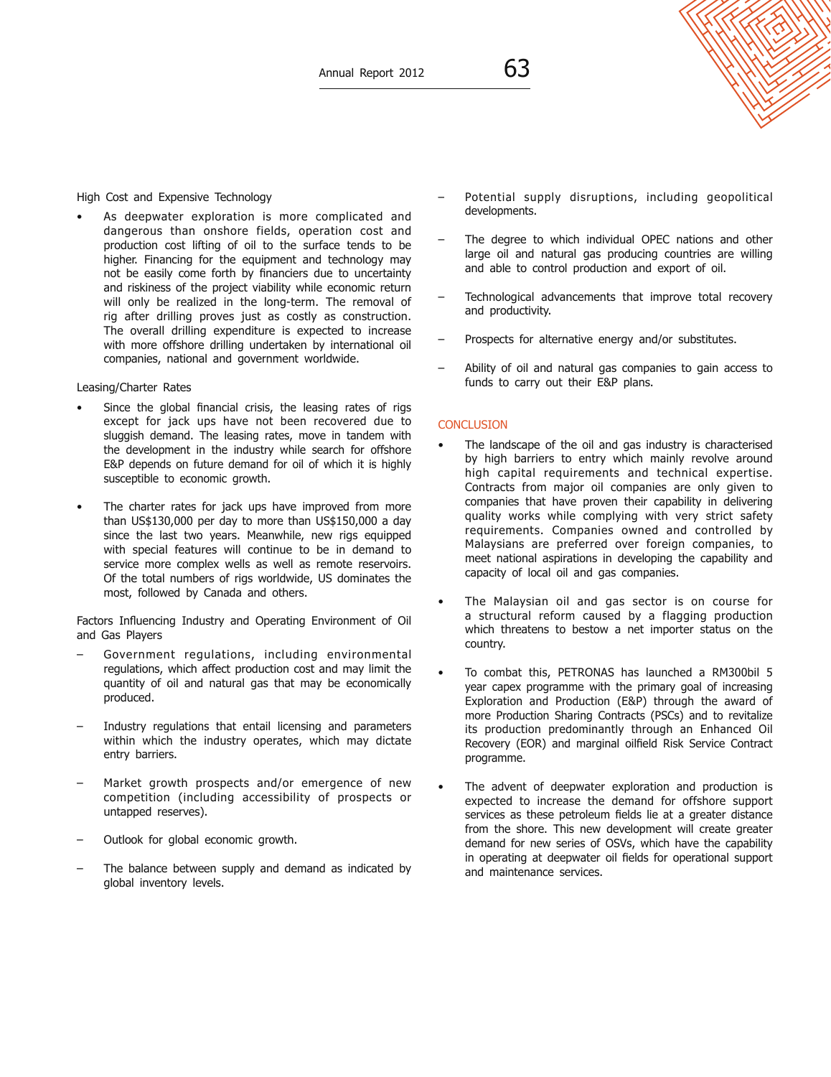# High Cost and Expensive Technology

As deepwater exploration is more complicated and dangerous than onshore fields, operation cost and production cost lifting of oil to the surface tends to be higher. Financing for the equipment and technology may not be easily come forth by financiers due to uncertainty and riskiness of the project viability while economic return will only be realized in the long-term. The removal of rig after drilling proves just as costly as construction. The overall drilling expenditure is expected to increase with more offshore drilling undertaken by international oil companies, national and government worldwide.

#### Leasing/Charter Rates

- Since the global financial crisis, the leasing rates of rigs except for jack ups have not been recovered due to sluggish demand. The leasing rates, move in tandem with the development in the industry while search for offshore E&P depends on future demand for oil of which it is highly susceptible to economic growth.
- The charter rates for jack ups have improved from more than US\$130,000 per day to more than US\$150,000 a day since the last two years. Meanwhile, new rigs equipped with special features will continue to be in demand to service more complex wells as well as remote reservoirs. Of the total numbers of rigs worldwide, US dominates the most, followed by Canada and others.

Factors Influencing Industry and Operating Environment of Oil and Gas Players

- Government regulations, including environmental regulations, which affect production cost and may limit the quantity of oil and natural gas that may be economically produced.
- Industry regulations that entail licensing and parameters within which the industry operates, which may dictate entry barriers.
- Market growth prospects and/or emergence of new competition (including accessibility of prospects or untapped reserves).
- Outlook for global economic growth.
- The balance between supply and demand as indicated by global inventory levels.
- Potential supply disruptions, including geopolitical developments.
- The degree to which individual OPEC nations and other large oil and natural gas producing countries are willing and able to control production and export of oil.
- Technological advancements that improve total recovery and productivity.
- Prospects for alternative energy and/or substitutes.
- Ability of oil and natural gas companies to gain access to funds to carry out their E&P plans.

#### **CONCLUSION**

- The landscape of the oil and gas industry is characterised by high barriers to entry which mainly revolve around high capital requirements and technical expertise. Contracts from major oil companies are only given to companies that have proven their capability in delivering quality works while complying with very strict safety requirements. Companies owned and controlled by Malaysians are preferred over foreign companies, to meet national aspirations in developing the capability and capacity of local oil and gas companies.
- The Malaysian oil and gas sector is on course for a structural reform caused by a flagging production which threatens to bestow a net importer status on the country.
- To combat this, PETRONAS has launched a RM300bil 5 year capex programme with the primary goal of increasing Exploration and Production (E&P) through the award of more Production Sharing Contracts (PSCs) and to revitalize its production predominantly through an Enhanced Oil Recovery (EOR) and marginal oilfield Risk Service Contract programme.
- The advent of deepwater exploration and production is expected to increase the demand for offshore support services as these petroleum fields lie at a greater distance from the shore. This new development will create greater demand for new series of OSVs, which have the capability in operating at deepwater oil fields for operational support and maintenance services.